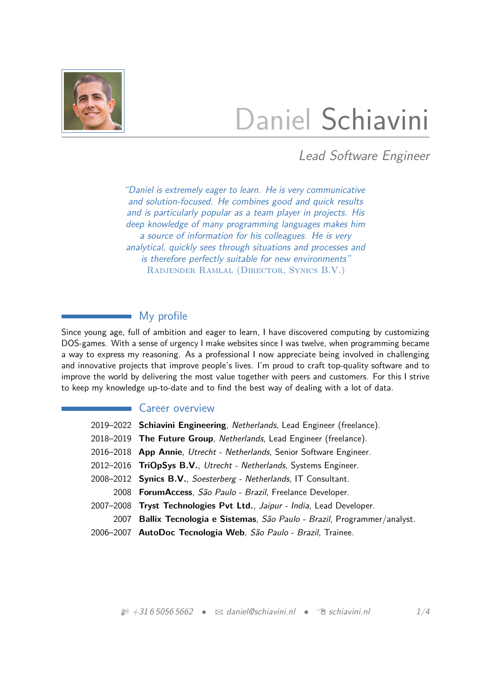

# Daniel Schiavini

Lead Software Engineer

"Daniel is extremely eager to learn. He is very communicative and solution-focused. He combines good and quick results and is particularly popular as a team player in projects. His deep knowledge of many programming languages makes him a source of information for his colleagues. He is very analytical, quickly sees through situations and processes and is therefore perfectly suitable for new environments" Radjender Ramlal (Director, Synics B.V.)

## My profile

Since young age, full of ambition and eager to learn, I have discovered computing by customizing DOS-games. With a sense of urgency I make websites since I was twelve, when programming became a way to express my reasoning. As a professional I now appreciate being involved in challenging and innovative projects that improve people's lives. I'm proud to craft top-quality software and to improve the world by delivering the most value together with peers and customers. For this I strive to keep my knowledge up-to-date and to find the best way of dealing with a lot of data.

## Career overview

| 2019–2022 Schiavini Engineering, Netherlands, Lead Engineer (freelance).   |  |  |
|----------------------------------------------------------------------------|--|--|
| 2018-2019 The Future Group, Netherlands, Lead Engineer (freelance).        |  |  |
| 2016–2018 App Annie, Utrecht - Netherlands, Senior Software Engineer.      |  |  |
| 2012-2016 TriOpSys B.V., Utrecht - Netherlands, Systems Engineer.          |  |  |
| 2008–2012 Synics B.V., Soesterberg - Netherlands, IT Consultant.           |  |  |
| 2008 ForumAccess, São Paulo - Brazil, Freelance Developer.                 |  |  |
| 2007-2008 Tryst Technologies Pvt Ltd., Jaipur - India, Lead Developer.     |  |  |
| 2007 Ballix Tecnologia e Sistemas, São Paulo - Brazil, Programmer/analyst. |  |  |
| 2006–2007 AutoDoc Tecnologia Web, São Paulo - Brazil, Trainee.             |  |  |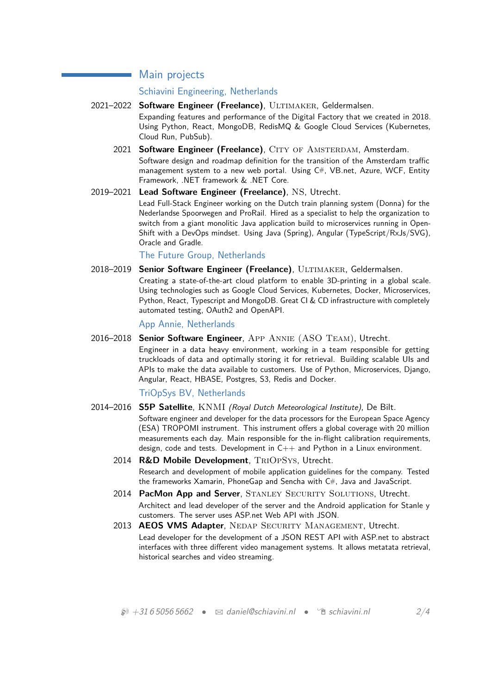## Main projects

#### Schiavini Engineering, Netherlands

- 2021–2022 **Software Engineer (Freelance)**, ULTIMAKER, Geldermalsen. Expanding features and performance of the Digital Factory that we created in 2018. Using Python, React, MongoDB, RedisMQ & Google Cloud Services (Kubernetes, Cloud Run, PubSub).
	- 2021 **Software Engineer (Freelance)**, CITY OF AMSTERDAM, Amsterdam, Software design and roadmap definition for the transition of the Amsterdam traffic management system to a new web portal. Using C#, VB.net, Azure, WCF, Entity Framework, .NET framework & .NET Core.
- 2019–2021 **Lead Software Engineer (Freelance)**, NS, Utrecht.

Lead Full-Stack Engineer working on the Dutch train planning system (Donna) for the Nederlandse Spoorwegen and ProRail. Hired as a specialist to help the organization to switch from a giant monolitic Java application build to microservices running in Open-Shift with a DevOps mindset. Using Java (Spring), Angular (TypeScript/RxJs/SVG), Oracle and Gradle.

The Future Group, Netherlands

2018–2019 **Senior Software Engineer (Freelance)**, ULTIMAKER, Geldermalsen.

Creating a state-of-the-art cloud platform to enable 3D-printing in a global scale. Using technologies such as Google Cloud Services, Kubernetes, Docker, Microservices, Python, React, Typescript and MongoDB. Great CI & CD infrastructure with completely automated testing, OAuth2 and OpenAPI.

#### App Annie, Netherlands

2016–2018 **Senior Software Engineer**, App Annie (ASO Team), Utrecht.

Engineer in a data heavy environment, working in a team responsible for getting truckloads of data and optimally storing it for retrieval. Building scalable UIs and APIs to make the data available to customers. Use of Python, Microservices, Django, Angular, React, HBASE, Postgres, S3, Redis and Docker.

#### TriOpSys BV, Netherlands

2014–2016 **S5P Satellite**, KNMI (Royal Dutch Meteorological Institute), De Bilt.

Software engineer and developer for the data processors for the European Space Agency (ESA) TROPOMI instrument. This instrument offers a global coverage with 20 million measurements each day. Main responsible for the in-flight calibration requirements, design, code and tests. Development in  $C_{++}$  and Python in a Linux environment.

- 2014 **R&D Mobile Development**, TriOpSys, Utrecht. Research and development of mobile application guidelines for the company. Tested the frameworks Xamarin, PhoneGap and Sencha with C#, Java and JavaScript.
- 2014 **PacMon App and Server**, STANLEY SECURITY SOLUTIONS, Utrecht. Architect and lead developer of the server and the Android application for Stanle y customers. The server uses ASP.net Web API with JSON.
- 2013 **AEOS VMS Adapter**, Nedap Security Management, Utrecht. Lead developer for the development of a JSON REST API with ASP.net to abstract interfaces with three different video management systems. It allows metatata retrieval, historical searches and video streaming.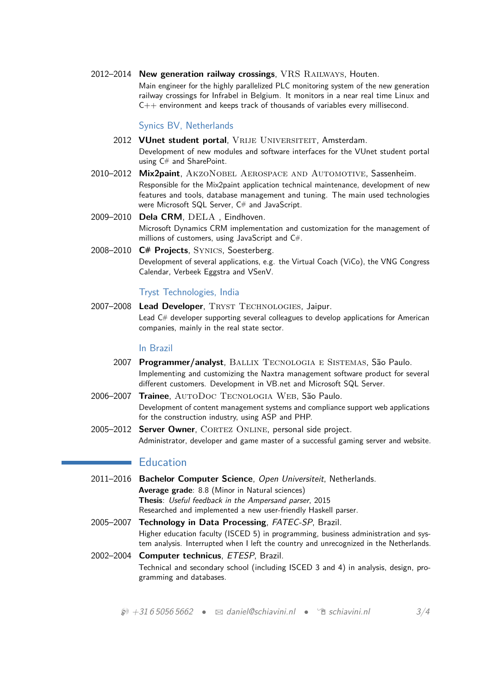2012–2014 **New generation railway crossings**, VRS Railways, Houten. Main engineer for the highly parallelized PLC monitoring system of the new generation railway crossings for Infrabel in Belgium. It monitors in a near real time Linux and C++ environment and keeps track of thousands of variables every millisecond.

#### Synics BV, Netherlands

- 2012 VUnet student portal, VRIJE UNIVERSITEIT, Amsterdam. Development of new modules and software interfaces for the VUnet student portal using C# and SharePoint.
- 2010–2012 **Mix2paint**, AkzoNobel Aerospace and Automotive, Sassenheim. Responsible for the Mix2paint application technical maintenance, development of new features and tools, database management and tuning. The main used technologies were Microsoft SQL Server, C# and JavaScript.
- 2009–2010 **Dela CRM**, DELA , Eindhoven. Microsoft Dynamics CRM implementation and customization for the management of millions of customers, using JavaScript and C#.
- 2008–2010 **C# Projects**, Synics, Soesterberg. Development of several applications, e.g. the Virtual Coach (ViCo), the VNG Congress Calendar, Verbeek Eggstra and VSenV.

#### Tryst Technologies, India

2007–2008 **Lead Developer**, Tryst Technologies, Jaipur. Lead C# developer supporting several colleagues to develop applications for American companies, mainly in the real state sector.

#### In Brazil

- 2007 **Programmer/analyst**, Ballix Tecnologia e Sistemas, São Paulo. Implementing and customizing the Naxtra management software product for several different customers. Development in VB.net and Microsoft SQL Server.
- 2006–2007 **Trainee**, AutoDoc Tecnologia Web, São Paulo. Development of content management systems and compliance support web applications for the construction industry, using ASP and PHP.
- 2005–2012 **Server Owner**, CORTEZ ONLINE, personal side project. Administrator, developer and game master of a successful gaming server and website.

### **Education**

- 2011–2016 **Bachelor Computer Science**, Open Universiteit, Netherlands. **Average grade**: 8.8 (Minor in Natural sciences) **Thesis**: Useful feedback in the Ampersand parser, 2015 Researched and implemented a new user-friendly Haskell parser.
- 2005–2007 **Technology in Data Processing**, FATEC-SP, Brazil. Higher education faculty (ISCED 5) in programming, business administration and system analysis. Interrupted when I left the country and unrecognized in the Netherlands.
- 2002–2004 **Computer technicus**, ETESP, Brazil. Technical and secondary school (including ISCED 3 and 4) in analysis, design, programming and databases.